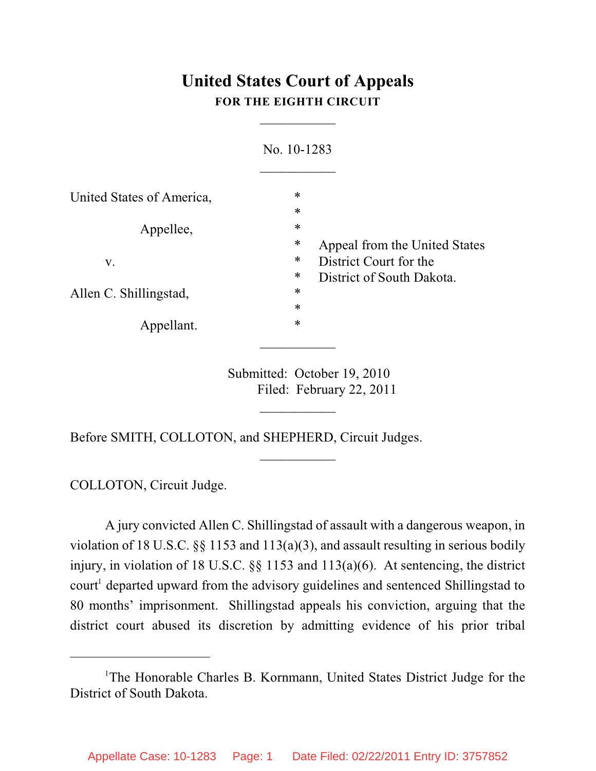# **United States Court of Appeals FOR THE EIGHTH CIRCUIT**

 $\overline{\phantom{a}}$ 

| No. 10-1283                             |
|-----------------------------------------|
| $\ast$                                  |
| $\ast$                                  |
| $\ast$                                  |
| $\ast$<br>Appeal from the United States |
| ∗<br>District Court for the             |
| ∗<br>District of South Dakota.          |
| $\ast$                                  |
| $\ast$                                  |
| $\ast$                                  |
|                                         |

Submitted: October 19, 2010 Filed: February 22, 2011

 $\frac{1}{2}$ 

 $\frac{1}{2}$ 

Before SMITH, COLLOTON, and SHEPHERD, Circuit Judges.

COLLOTON, Circuit Judge.

A jury convicted Allen C. Shillingstad of assault with a dangerous weapon, in violation of 18 U.S.C. §§ 1153 and 113(a)(3), and assault resulting in serious bodily injury, in violation of 18 U.S.C. §§ 1153 and 113(a)(6). At sentencing, the district court<sup>1</sup> departed upward from the advisory guidelines and sentenced Shillingstad to 80 months' imprisonment. Shillingstad appeals his conviction, arguing that the district court abused its discretion by admitting evidence of his prior tribal

<sup>&</sup>lt;sup>1</sup>The Honorable Charles B. Kornmann, United States District Judge for the District of South Dakota.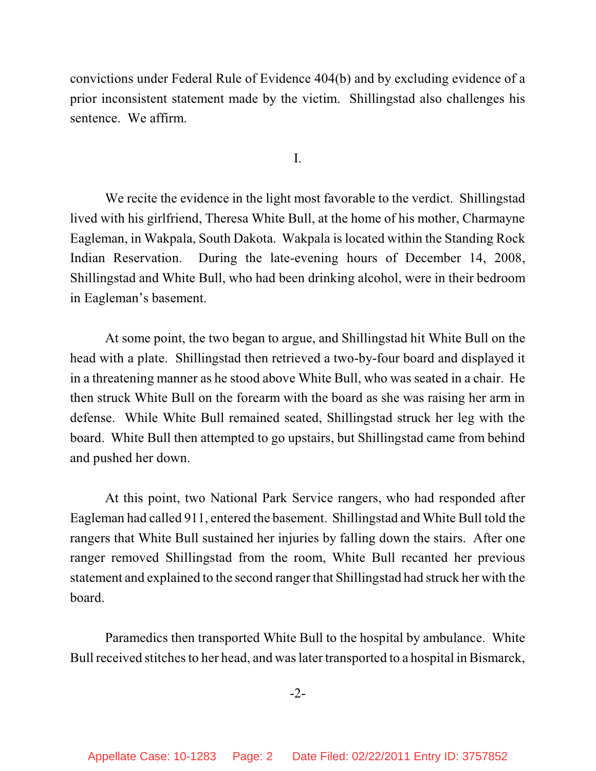convictions under Federal Rule of Evidence 404(b) and by excluding evidence of a prior inconsistent statement made by the victim. Shillingstad also challenges his sentence. We affirm.

I.

We recite the evidence in the light most favorable to the verdict. Shillingstad lived with his girlfriend, Theresa White Bull, at the home of his mother, Charmayne Eagleman, in Wakpala, South Dakota. Wakpala is located within the Standing Rock Indian Reservation. During the late-evening hours of December 14, 2008, Shillingstad and White Bull, who had been drinking alcohol, were in their bedroom in Eagleman's basement.

At some point, the two began to argue, and Shillingstad hit White Bull on the head with a plate. Shillingstad then retrieved a two-by-four board and displayed it in a threatening manner as he stood above White Bull, who was seated in a chair. He then struck White Bull on the forearm with the board as she was raising her arm in defense. While White Bull remained seated, Shillingstad struck her leg with the board. White Bull then attempted to go upstairs, but Shillingstad came from behind and pushed her down.

At this point, two National Park Service rangers, who had responded after Eagleman had called 911, entered the basement. Shillingstad and White Bull told the rangers that White Bull sustained her injuries by falling down the stairs. After one ranger removed Shillingstad from the room, White Bull recanted her previous statement and explained to the second ranger that Shillingstad had struck her with the board.

Paramedics then transported White Bull to the hospital by ambulance. White Bull received stitches to her head, and was later transported to a hospital in Bismarck,

-2-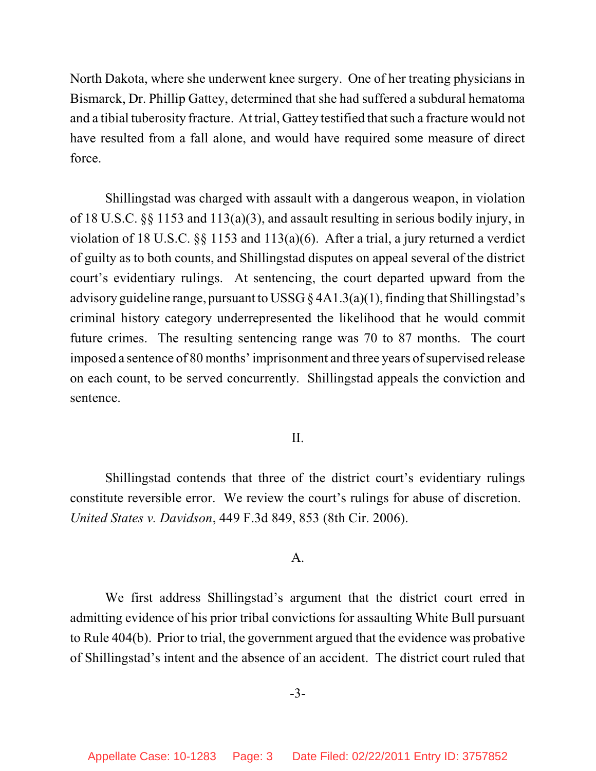North Dakota, where she underwent knee surgery. One of her treating physicians in Bismarck, Dr. Phillip Gattey, determined that she had suffered a subdural hematoma and a tibial tuberosity fracture. At trial, Gattey testified that such a fracture would not have resulted from a fall alone, and would have required some measure of direct force.

Shillingstad was charged with assault with a dangerous weapon, in violation of 18 U.S.C. §§ 1153 and 113(a)(3), and assault resulting in serious bodily injury, in violation of 18 U.S.C. §§ 1153 and 113(a)(6). After a trial, a jury returned a verdict of guilty as to both counts, and Shillingstad disputes on appeal several of the district court's evidentiary rulings. At sentencing, the court departed upward from the advisory guideline range, pursuant to USSG § 4A1.3(a)(1), finding that Shillingstad's criminal history category underrepresented the likelihood that he would commit future crimes. The resulting sentencing range was 70 to 87 months. The court imposed a sentence of 80 months' imprisonment and three years of supervised release on each count, to be served concurrently. Shillingstad appeals the conviction and sentence.

### II.

Shillingstad contends that three of the district court's evidentiary rulings constitute reversible error. We review the court's rulings for abuse of discretion. *United States v. Davidson*, 449 F.3d 849, 853 (8th Cir. 2006).

#### A.

We first address Shillingstad's argument that the district court erred in admitting evidence of his prior tribal convictions for assaulting White Bull pursuant to Rule 404(b). Prior to trial, the government argued that the evidence was probative of Shillingstad's intent and the absence of an accident. The district court ruled that

-3-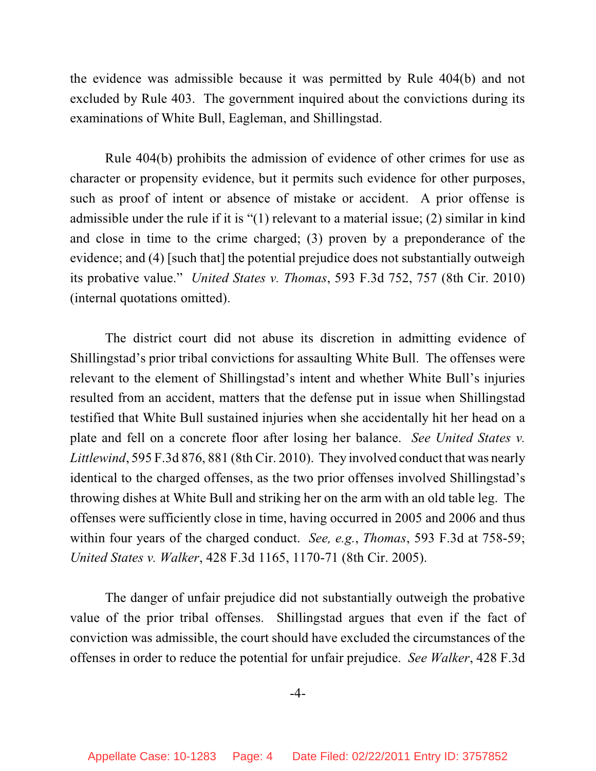the evidence was admissible because it was permitted by Rule 404(b) and not excluded by Rule 403. The government inquired about the convictions during its examinations of White Bull, Eagleman, and Shillingstad.

Rule 404(b) prohibits the admission of evidence of other crimes for use as character or propensity evidence, but it permits such evidence for other purposes, such as proof of intent or absence of mistake or accident. A prior offense is admissible under the rule if it is "(1) relevant to a material issue; (2) similar in kind and close in time to the crime charged; (3) proven by a preponderance of the evidence; and (4) [such that] the potential prejudice does not substantially outweigh its probative value." *United States v. Thomas*, 593 F.3d 752, 757 (8th Cir. 2010) (internal quotations omitted).

The district court did not abuse its discretion in admitting evidence of Shillingstad's prior tribal convictions for assaulting White Bull. The offenses were relevant to the element of Shillingstad's intent and whether White Bull's injuries resulted from an accident, matters that the defense put in issue when Shillingstad testified that White Bull sustained injuries when she accidentally hit her head on a plate and fell on a concrete floor after losing her balance. *See United States v. Littlewind*, 595 F.3d 876, 881 (8th Cir. 2010). They involved conduct that was nearly identical to the charged offenses, as the two prior offenses involved Shillingstad's throwing dishes at White Bull and striking her on the arm with an old table leg. The offenses were sufficiently close in time, having occurred in 2005 and 2006 and thus within four years of the charged conduct. *See, e.g.*, *Thomas*, 593 F.3d at 758-59; *United States v. Walker*, 428 F.3d 1165, 1170-71 (8th Cir. 2005).

The danger of unfair prejudice did not substantially outweigh the probative value of the prior tribal offenses. Shillingstad argues that even if the fact of conviction was admissible, the court should have excluded the circumstances of the offenses in order to reduce the potential for unfair prejudice. *See Walker*, 428 F.3d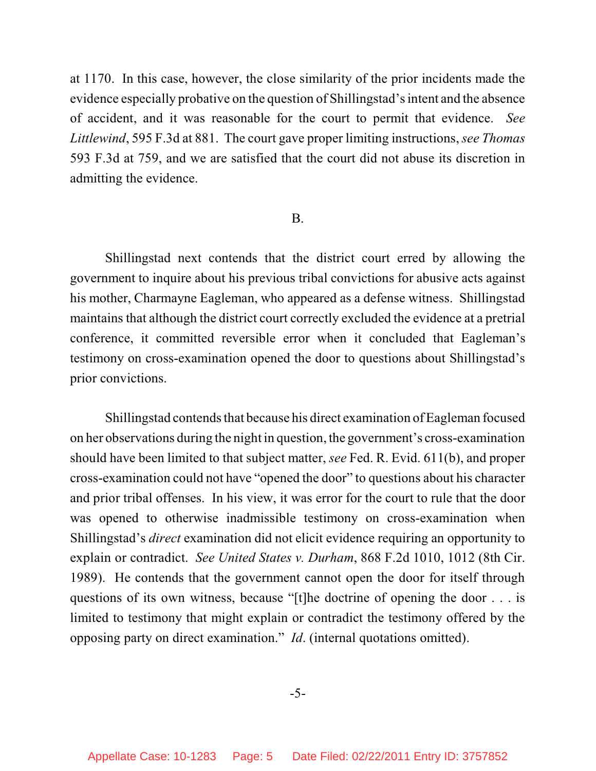at 1170. In this case, however, the close similarity of the prior incidents made the evidence especially probative on the question of Shillingstad's intent and the absence of accident, and it was reasonable for the court to permit that evidence. *See Littlewind*, 595 F.3d at 881. The court gave proper limiting instructions, *see Thomas* 593 F.3d at 759, and we are satisfied that the court did not abuse its discretion in admitting the evidence.

#### B.

Shillingstad next contends that the district court erred by allowing the government to inquire about his previous tribal convictions for abusive acts against his mother, Charmayne Eagleman, who appeared as a defense witness. Shillingstad maintains that although the district court correctly excluded the evidence at a pretrial conference, it committed reversible error when it concluded that Eagleman's testimony on cross-examination opened the door to questions about Shillingstad's prior convictions.

Shillingstad contends that because his direct examination of Eagleman focused on her observations during the night in question, the government's cross-examination should have been limited to that subject matter, *see* Fed. R. Evid. 611(b), and proper cross-examination could not have "opened the door" to questions about his character and prior tribal offenses. In his view, it was error for the court to rule that the door was opened to otherwise inadmissible testimony on cross-examination when Shillingstad's *direct* examination did not elicit evidence requiring an opportunity to explain or contradict. *See United States v. Durham*, 868 F.2d 1010, 1012 (8th Cir. 1989). He contends that the government cannot open the door for itself through questions of its own witness, because "[t]he doctrine of opening the door . . . is limited to testimony that might explain or contradict the testimony offered by the opposing party on direct examination." *Id*. (internal quotations omitted).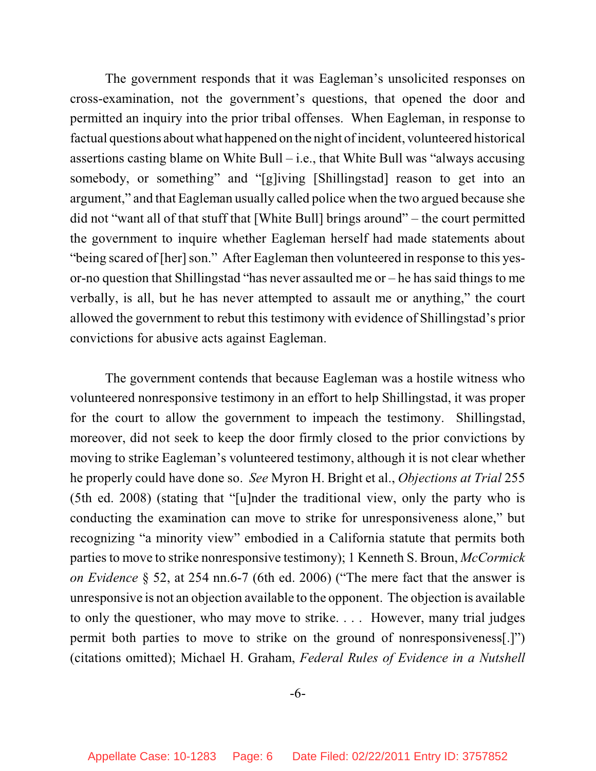The government responds that it was Eagleman's unsolicited responses on cross-examination, not the government's questions, that opened the door and permitted an inquiry into the prior tribal offenses. When Eagleman, in response to factual questions about what happened on the night of incident, volunteered historical assertions casting blame on White Bull – i.e., that White Bull was "always accusing somebody, or something" and "[g]iving [Shillingstad] reason to get into an argument," and that Eagleman usually called police when the two argued because she did not "want all of that stuff that [White Bull] brings around" – the court permitted the government to inquire whether Eagleman herself had made statements about "being scared of [her] son." After Eagleman then volunteered in response to this yesor-no question that Shillingstad "has never assaulted me or – he has said things to me verbally, is all, but he has never attempted to assault me or anything," the court allowed the government to rebut this testimony with evidence of Shillingstad's prior convictions for abusive acts against Eagleman.

The government contends that because Eagleman was a hostile witness who volunteered nonresponsive testimony in an effort to help Shillingstad, it was proper for the court to allow the government to impeach the testimony. Shillingstad, moreover, did not seek to keep the door firmly closed to the prior convictions by moving to strike Eagleman's volunteered testimony, although it is not clear whether he properly could have done so. *See* Myron H. Bright et al., *Objections at Trial* 255 (5th ed. 2008) (stating that "[u]nder the traditional view, only the party who is conducting the examination can move to strike for unresponsiveness alone," but recognizing "a minority view" embodied in a California statute that permits both parties to move to strike nonresponsive testimony); 1 Kenneth S. Broun, *McCormick on Evidence* § 52, at 254 nn.6-7 (6th ed. 2006) ("The mere fact that the answer is unresponsive is not an objection available to the opponent. The objection is available to only the questioner, who may move to strike. . . . However, many trial judges permit both parties to move to strike on the ground of nonresponsiveness[.]") (citations omitted); Michael H. Graham, *Federal Rules of Evidence in a Nutshell*

-6-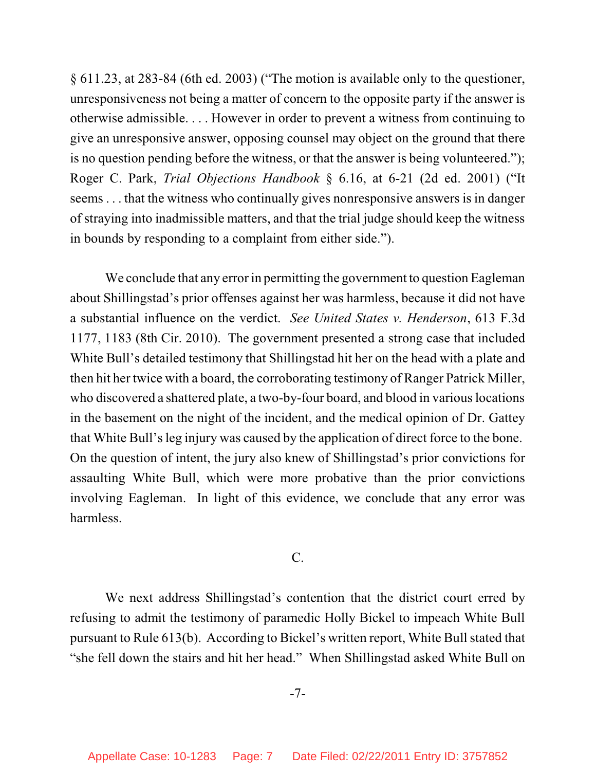§ 611.23, at 283-84 (6th ed. 2003) ("The motion is available only to the questioner, unresponsiveness not being a matter of concern to the opposite party if the answer is otherwise admissible. . . . However in order to prevent a witness from continuing to give an unresponsive answer, opposing counsel may object on the ground that there is no question pending before the witness, or that the answer is being volunteered."); Roger C. Park, *Trial Objections Handbook* § 6.16, at 6-21 (2d ed. 2001) ("It seems . . . that the witness who continually gives nonresponsive answers is in danger of straying into inadmissible matters, and that the trial judge should keep the witness in bounds by responding to a complaint from either side.").

We conclude that any error in permitting the government to question Eagleman about Shillingstad's prior offenses against her was harmless, because it did not have a substantial influence on the verdict. *See United States v. Henderson*, 613 F.3d 1177, 1183 (8th Cir. 2010). The government presented a strong case that included White Bull's detailed testimony that Shillingstad hit her on the head with a plate and then hit her twice with a board, the corroborating testimony of Ranger Patrick Miller, who discovered a shattered plate, a two-by-four board, and blood in various locations in the basement on the night of the incident, and the medical opinion of Dr. Gattey that White Bull's leg injury was caused by the application of direct force to the bone. On the question of intent, the jury also knew of Shillingstad's prior convictions for assaulting White Bull, which were more probative than the prior convictions involving Eagleman. In light of this evidence, we conclude that any error was harmless.

## C.

We next address Shillingstad's contention that the district court erred by refusing to admit the testimony of paramedic Holly Bickel to impeach White Bull pursuant to Rule 613(b). According to Bickel's written report, White Bull stated that "she fell down the stairs and hit her head." When Shillingstad asked White Bull on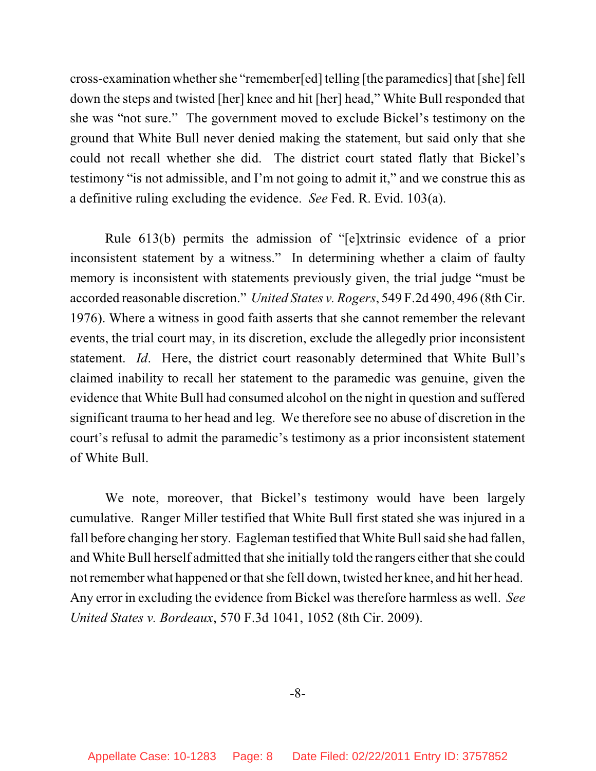cross-examination whether she "remember[ed] telling [the paramedics] that [she] fell down the steps and twisted [her] knee and hit [her] head," White Bull responded that she was "not sure." The government moved to exclude Bickel's testimony on the ground that White Bull never denied making the statement, but said only that she could not recall whether she did. The district court stated flatly that Bickel's testimony "is not admissible, and I'm not going to admit it," and we construe this as a definitive ruling excluding the evidence. *See* Fed. R. Evid. 103(a).

Rule 613(b) permits the admission of "[e]xtrinsic evidence of a prior inconsistent statement by a witness." In determining whether a claim of faulty memory is inconsistent with statements previously given, the trial judge "must be accorded reasonable discretion." *United States v. Rogers*, 549 F.2d 490, 496 (8th Cir. 1976). Where a witness in good faith asserts that she cannot remember the relevant events, the trial court may, in its discretion, exclude the allegedly prior inconsistent statement. *Id*. Here, the district court reasonably determined that White Bull's claimed inability to recall her statement to the paramedic was genuine, given the evidence that White Bull had consumed alcohol on the night in question and suffered significant trauma to her head and leg. We therefore see no abuse of discretion in the court's refusal to admit the paramedic's testimony as a prior inconsistent statement of White Bull.

We note, moreover, that Bickel's testimony would have been largely cumulative. Ranger Miller testified that White Bull first stated she was injured in a fall before changing her story. Eagleman testified that White Bull said she had fallen, and White Bull herself admitted that she initially told the rangers either that she could not remember what happened orthat she fell down, twisted her knee, and hit her head. Any error in excluding the evidence from Bickel was therefore harmless as well. *See United States v. Bordeaux*, 570 F.3d 1041, 1052 (8th Cir. 2009).

-8-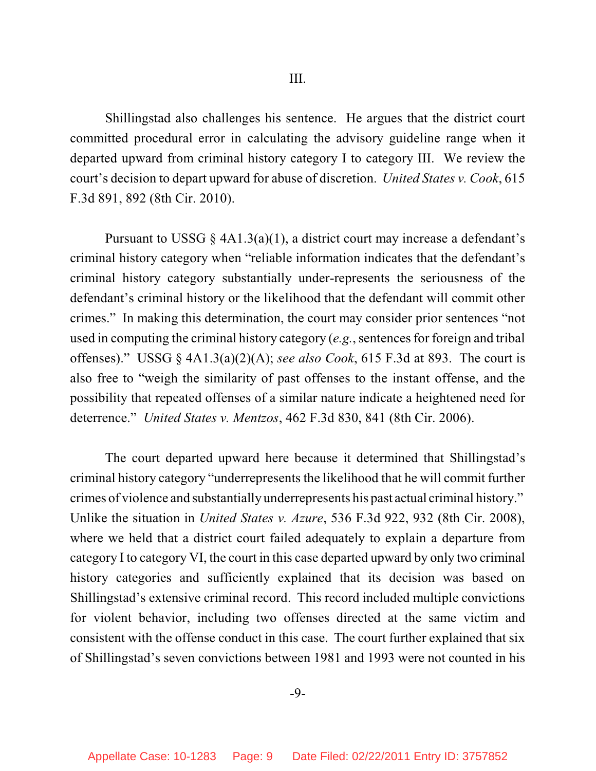Shillingstad also challenges his sentence. He argues that the district court committed procedural error in calculating the advisory guideline range when it departed upward from criminal history category I to category III. We review the court's decision to depart upward for abuse of discretion. *United States v. Cook*, 615 F.3d 891, 892 (8th Cir. 2010).

Pursuant to USSG  $\S$  4A1.3(a)(1), a district court may increase a defendant's criminal history category when "reliable information indicates that the defendant's criminal history category substantially under-represents the seriousness of the defendant's criminal history or the likelihood that the defendant will commit other crimes." In making this determination, the court may consider prior sentences "not used in computing the criminal history category (*e.g.*, sentences for foreign and tribal offenses)." USSG § 4A1.3(a)(2)(A); *see also Cook*, 615 F.3d at 893. The court is also free to "weigh the similarity of past offenses to the instant offense, and the possibility that repeated offenses of a similar nature indicate a heightened need for deterrence." *United States v. Mentzos*, 462 F.3d 830, 841 (8th Cir. 2006).

The court departed upward here because it determined that Shillingstad's criminal history category "underrepresents the likelihood that he will commit further crimes of violence and substantially underrepresents his past actual criminal history." Unlike the situation in *United States v. Azure*, 536 F.3d 922, 932 (8th Cir. 2008), where we held that a district court failed adequately to explain a departure from category I to category VI, the court in this case departed upward by only two criminal history categories and sufficiently explained that its decision was based on Shillingstad's extensive criminal record. This record included multiple convictions for violent behavior, including two offenses directed at the same victim and consistent with the offense conduct in this case. The court further explained that six of Shillingstad's seven convictions between 1981 and 1993 were not counted in his